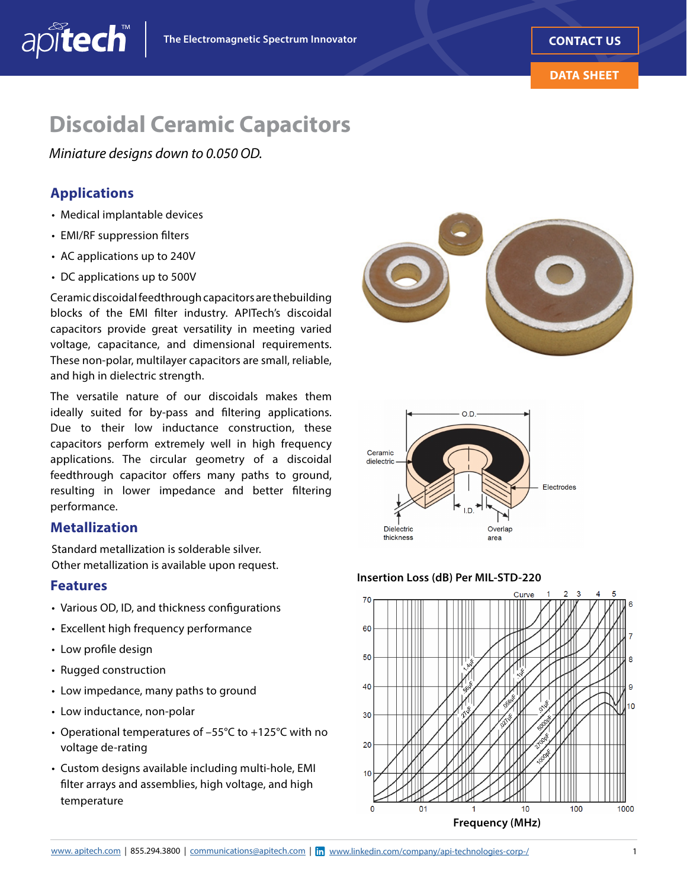**DATA SHEET**

# **Discoidal Ceramic Capacitors**

*Miniature designs down to 0.050 OD.*

## **Applications**

apitech

- Medical implantable devices
- EMI/RF suppression filters
- AC applications up to 240V
- DC applications up to 500V

Ceramic discoidal feedthrough capacitors are thebuilding blocks of the EMI filter industry. APITech's discoidal capacitors provide great versatility in meeting varied voltage, capacitance, and dimensional requirements. These non-polar, multilayer capacitors are small, reliable, and high in dielectric strength.

The versatile nature of our discoidals makes them ideally suited for by-pass and filtering applications. Due to their low inductance construction, these capacitors perform extremely well in high frequency applications. The circular geometry of a discoidal feedthrough capacitor offers many paths to ground, resulting in lower impedance and better filtering performance.

### **Metallization**

Standard metallization is solderable silver. Other metallization is available upon request.

#### **Features**

- Various OD, ID, and thickness configurations
- Excellent high frequency performance
- Low profile design
- Rugged construction
- Low impedance, many paths to ground
- Low inductance, non-polar
- Operational temperatures of –55°C to +125°C with no voltage de-rating
- Custom designs available including multi-hole, EMI filter arrays and assemblies, high voltage, and high temperature





#### **Insertion Loss (dB) Per MIL-STD-220**

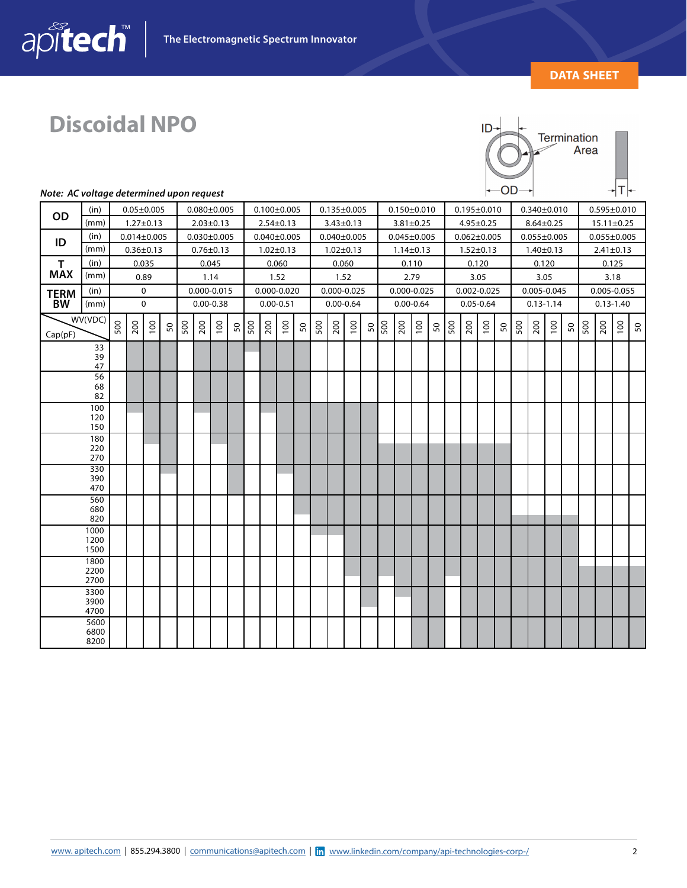

# **Discoidal NPO**

apitech

| IΓ | <b>Termination</b> | Area |  |
|----|--------------------|------|--|
|    |                    |      |  |

#### *Note: AC voltage determined upon request*

| OD          | (in)                 |     | $0.05 \pm 0.005$  |                  |    |     |                 |                  | $0.080 \pm 0.005$ |                   |                   | $0.100 \pm 0.005$ |    |     |       | $0.135 \pm 0.005$ |    |                   | $0.150 \pm 0.010$ |               |    | $0.195 \pm 0.010$ |                 |                  |    |                   | $0.340 \pm 0.010$ |                |                   | $0.595 \pm 0.010$ |                  |               |    |
|-------------|----------------------|-----|-------------------|------------------|----|-----|-----------------|------------------|-------------------|-------------------|-------------------|-------------------|----|-----|-------|-------------------|----|-------------------|-------------------|---------------|----|-------------------|-----------------|------------------|----|-------------------|-------------------|----------------|-------------------|-------------------|------------------|---------------|----|
|             | (mm)                 |     | $1.27 \pm 0.13$   |                  |    |     | $2.03 \pm 0.13$ |                  |                   |                   |                   | $2.54 \pm 0.13$   |    |     |       | $3.43 \pm 0.13$   |    |                   | $3.81 \pm 0.25$   |               |    |                   | $4.95 \pm 0.25$ |                  |    |                   | $8.64 \pm 0.25$   |                |                   | $15.11 \pm 0.25$  |                  |               |    |
| ID          | (in)                 |     | $0.014 \pm 0.005$ |                  |    |     | $0.030 + 0.005$ |                  |                   |                   | $0.040 \pm 0.005$ |                   |    |     |       | $0.040 \pm 0.005$ |    | $0.045 \pm 0.005$ |                   |               |    | $0.062 \pm 0.005$ |                 |                  |    | $0.055 \pm 0.005$ |                   |                | $0.055 \pm 0.005$ |                   |                  |               |    |
|             | (mm)                 |     | $0.36 \pm 0.13$   |                  |    |     | $0.76 \pm 0.13$ |                  |                   |                   |                   | $1.02 \pm 0.13$   |    |     |       | $1.02 \pm 0.13$   |    |                   | $1.14 \pm 0.13$   |               |    |                   | $1.52 \pm 0.13$ |                  |    |                   | $1.40 \pm 0.13$   |                |                   |                   | $2.41 \pm 0.13$  |               |    |
| T           | (in)                 |     |                   | 0.035            |    |     |                 | 0.045            |                   |                   |                   | 0.060             |    |     | 0.060 |                   |    |                   |                   | 0.110         |    |                   |                 | 0.120            |    |                   | 0.120             |                |                   |                   |                  | 0.125         |    |
| <b>MAX</b>  | (mm)                 |     |                   | 0.89             |    |     |                 | 1.14             |                   |                   |                   | 1.52              |    |     |       | 1.52              |    |                   |                   | 2.79          |    |                   |                 | 3.05             |    |                   |                   | 3.05           |                   |                   |                  | 3.18          |    |
| <b>TERM</b> | (in)                 |     |                   | 0                |    |     | 0.000-0.015     |                  |                   |                   |                   | 0.000-0.020       |    |     |       | 0.000-0.025       |    |                   | 0.000-0.025       |               |    |                   | 0.002-0.025     |                  |    |                   | 0.005-0.045       |                |                   |                   | 0.005-0.055      |               |    |
| BW          | (mm)                 |     |                   | 0                |    |     | $0.00 - 0.38$   |                  |                   |                   |                   | $0.00 - 0.51$     |    |     |       | $0.00 - 0.64$     |    |                   |                   | $0.00 - 0.64$ |    |                   | $0.05 - 0.64$   |                  |    |                   | $0.13 - 1.14$     |                |                   |                   |                  | $0.13 - 1.40$ |    |
|             | WV(VDC)              |     |                   |                  |    |     |                 |                  |                   |                   |                   |                   |    |     |       |                   |    |                   |                   |               |    |                   |                 |                  |    |                   |                   |                |                   |                   |                  |               |    |
| Cap(pF)     |                      | 500 | 200               | $\overline{100}$ | 50 | 500 | 200             | $\overline{100}$ | 50                | $\frac{500}{500}$ | 200               | $\overline{5}$    | 50 | 500 | 200   | $\overline{100}$  | 50 | ခြွ               | 200               | 100           | 50 | 500               | 200             | $\overline{100}$ | 50 | 500               | 200               | $\overline{5}$ | 50                | 500               | $\overline{200}$ | 100           | 50 |
|             | 33<br>39<br>47       |     |                   |                  |    |     |                 |                  |                   |                   |                   |                   |    |     |       |                   |    |                   |                   |               |    |                   |                 |                  |    |                   |                   |                |                   |                   |                  |               |    |
|             | 56<br>68<br>82       |     |                   |                  |    |     |                 |                  |                   |                   |                   |                   |    |     |       |                   |    |                   |                   |               |    |                   |                 |                  |    |                   |                   |                |                   |                   |                  |               |    |
|             | 100<br>120<br>150    |     |                   |                  |    |     |                 |                  |                   |                   |                   |                   |    |     |       |                   |    |                   |                   |               |    |                   |                 |                  |    |                   |                   |                |                   |                   |                  |               |    |
|             | 180<br>220<br>270    |     |                   |                  |    |     |                 |                  |                   |                   |                   |                   |    |     |       |                   |    |                   |                   |               |    |                   |                 |                  |    |                   |                   |                |                   |                   |                  |               |    |
|             | 330<br>390<br>470    |     |                   |                  |    |     |                 |                  |                   |                   |                   |                   |    |     |       |                   |    |                   |                   |               |    |                   |                 |                  |    |                   |                   |                |                   |                   |                  |               |    |
|             | 560<br>680<br>820    |     |                   |                  |    |     |                 |                  |                   |                   |                   |                   |    |     |       |                   |    |                   |                   |               |    |                   |                 |                  |    |                   |                   |                |                   |                   |                  |               |    |
|             | 1000<br>1200<br>1500 |     |                   |                  |    |     |                 |                  |                   |                   |                   |                   |    |     |       |                   |    |                   |                   |               |    |                   |                 |                  |    |                   |                   |                |                   |                   |                  |               |    |
|             | 1800<br>2200<br>2700 |     |                   |                  |    |     |                 |                  |                   |                   |                   |                   |    |     |       |                   |    |                   |                   |               |    |                   |                 |                  |    |                   |                   |                |                   |                   |                  |               |    |
|             | 3300<br>3900<br>4700 |     |                   |                  |    |     |                 |                  |                   |                   |                   |                   |    |     |       |                   |    |                   |                   |               |    |                   |                 |                  |    |                   |                   |                |                   |                   |                  |               |    |
|             | 5600<br>6800<br>8200 |     |                   |                  |    |     |                 |                  |                   |                   |                   |                   |    |     |       |                   |    |                   |                   |               |    |                   |                 |                  |    |                   |                   |                |                   |                   |                  |               |    |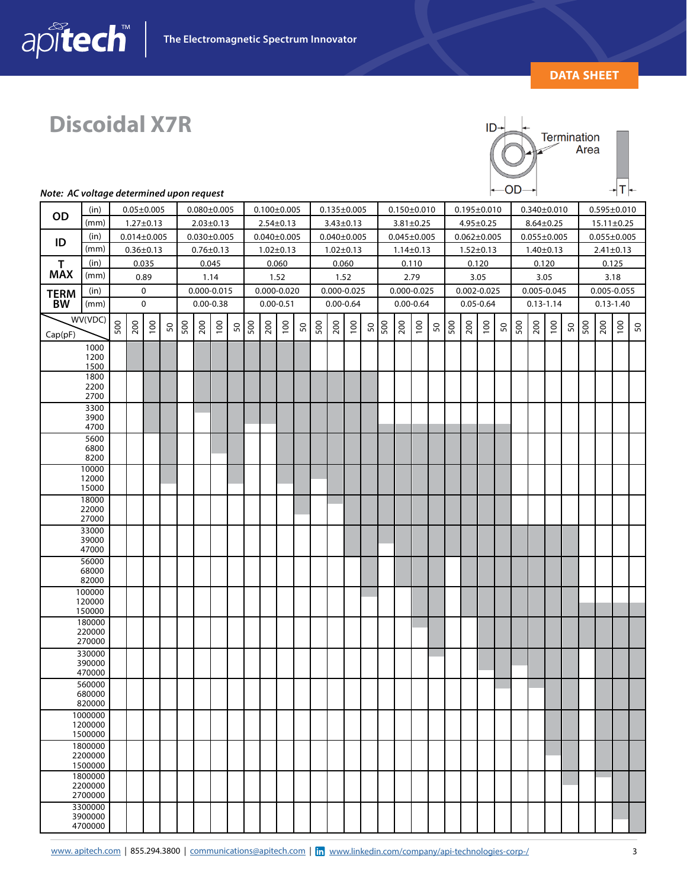### **DATA SHEET**

# **Discoidal X7R**

apitech

| Н | <b>Termination</b><br>Area |
|---|----------------------------|
|   |                            |

#### *Note: AC voltage determined upon request*

| OD<br>(mm)<br>$1.27 \pm 0.13$<br>$2.03 \pm 0.13$<br>$2.54 \pm 0.13$<br>$3.43 \pm 0.13$<br>$3.81 \pm 0.25$<br>$4.95 \pm 0.25$                                                                                                       | $8.64 \pm 0.25$                      |                                    |  |  |  |
|------------------------------------------------------------------------------------------------------------------------------------------------------------------------------------------------------------------------------------|--------------------------------------|------------------------------------|--|--|--|
|                                                                                                                                                                                                                                    |                                      | $15.11 \pm 0.25$                   |  |  |  |
| (in)<br>$0.014 \pm 0.005$<br>$0.045 \pm 0.005$<br>$0.030 \pm 0.005$<br>$0.040 \pm 0.005$<br>$0.040 \pm 0.005$<br>$0.062 \pm 0.005$<br>ID                                                                                           | $0.055 \pm 0.005$                    | $0.055 \pm 0.005$                  |  |  |  |
| (mm)<br>$0.36 \pm 0.13$<br>$0.76 \pm 0.13$<br>$1.02 \pm 0.13$<br>$1.02 \pm 0.13$<br>$1.14 \pm 0.13$<br>$1.52 \pm 0.13$                                                                                                             | $1.40 \pm 0.13$                      | $2.41 \pm 0.13$                    |  |  |  |
| (in)<br>Τ<br>0.035<br>0.045<br>0.060<br>0.060<br>0.110<br>0.120                                                                                                                                                                    | 0.120                                | 0.125                              |  |  |  |
| <b>MAX</b><br>(mm)<br>0.89<br>1.14<br>1.52<br>1.52<br>2.79<br>3.05                                                                                                                                                                 | 3.05                                 | 3.18                               |  |  |  |
| 0<br>0.000-0.015<br>0.000-0.020<br>0.000-0.025<br>0.000-0.025<br>0.002-0.025<br>(in)<br><b>TERM</b>                                                                                                                                | 0.005-0.045                          | 0.005-0.055                        |  |  |  |
| BW<br>0<br>$0.00 - 0.64$<br>$0.05 - 0.64$<br>(mm)<br>$0.00 - 0.38$<br>$0.00 - 0.51$<br>$0.00 - 0.64$                                                                                                                               | $0.13 - 1.14$                        | $0.13 - 1.40$                      |  |  |  |
| WV(VDC)                                                                                                                                                                                                                            |                                      |                                    |  |  |  |
| 500<br>200<br>500<br>$\overline{100}$<br>$\overline{100}$<br>500<br>200<br>100<br>200<br>$\overline{100}$<br>$\frac{5}{20}$<br>200<br>100<br>200<br>500<br>200<br>500<br>$\overline{100}$<br>50<br>50<br>50<br>50<br>50<br>Cap(pF) | 500<br>200<br>$\overline{100}$<br>50 | 200<br>500<br>$\overline{5}$<br>50 |  |  |  |
| 1000                                                                                                                                                                                                                               |                                      |                                    |  |  |  |
| 1200                                                                                                                                                                                                                               |                                      |                                    |  |  |  |
| 1500<br>1800                                                                                                                                                                                                                       |                                      |                                    |  |  |  |
| 2200                                                                                                                                                                                                                               |                                      |                                    |  |  |  |
| 2700                                                                                                                                                                                                                               |                                      |                                    |  |  |  |
| 3300<br>3900                                                                                                                                                                                                                       |                                      |                                    |  |  |  |
| 4700                                                                                                                                                                                                                               |                                      |                                    |  |  |  |
| 5600                                                                                                                                                                                                                               |                                      |                                    |  |  |  |
| 6800<br>8200                                                                                                                                                                                                                       |                                      |                                    |  |  |  |
| 10000                                                                                                                                                                                                                              |                                      |                                    |  |  |  |
| 12000                                                                                                                                                                                                                              |                                      |                                    |  |  |  |
| 15000<br>18000                                                                                                                                                                                                                     |                                      |                                    |  |  |  |
| 22000                                                                                                                                                                                                                              |                                      |                                    |  |  |  |
| 27000                                                                                                                                                                                                                              |                                      |                                    |  |  |  |
| 33000<br>39000                                                                                                                                                                                                                     |                                      |                                    |  |  |  |
| 47000                                                                                                                                                                                                                              |                                      |                                    |  |  |  |
| 56000                                                                                                                                                                                                                              |                                      |                                    |  |  |  |
| 68000<br>82000                                                                                                                                                                                                                     |                                      |                                    |  |  |  |
| 100000                                                                                                                                                                                                                             |                                      |                                    |  |  |  |
| 120000<br>150000                                                                                                                                                                                                                   |                                      |                                    |  |  |  |
| 180000                                                                                                                                                                                                                             |                                      |                                    |  |  |  |
| 220000                                                                                                                                                                                                                             |                                      |                                    |  |  |  |
| 270000                                                                                                                                                                                                                             |                                      |                                    |  |  |  |
| 330000<br>390000                                                                                                                                                                                                                   |                                      |                                    |  |  |  |
| 470000                                                                                                                                                                                                                             |                                      |                                    |  |  |  |
| 560000<br>680000                                                                                                                                                                                                                   |                                      |                                    |  |  |  |
| 820000                                                                                                                                                                                                                             |                                      |                                    |  |  |  |
| 1000000                                                                                                                                                                                                                            |                                      |                                    |  |  |  |
| 1200000<br>1500000                                                                                                                                                                                                                 |                                      |                                    |  |  |  |
| 1800000                                                                                                                                                                                                                            |                                      |                                    |  |  |  |
| 2200000                                                                                                                                                                                                                            |                                      |                                    |  |  |  |
| 1500000<br>1800000                                                                                                                                                                                                                 |                                      |                                    |  |  |  |
| 2200000                                                                                                                                                                                                                            |                                      |                                    |  |  |  |
| 2700000                                                                                                                                                                                                                            |                                      |                                    |  |  |  |
| 3300000<br>3900000                                                                                                                                                                                                                 |                                      |                                    |  |  |  |
| 4700000                                                                                                                                                                                                                            |                                      |                                    |  |  |  |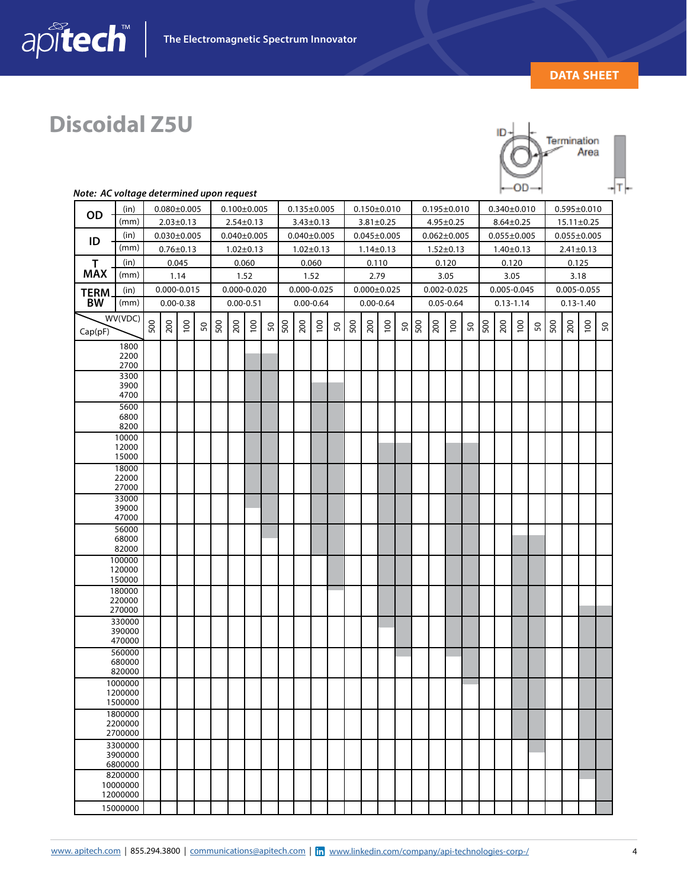### **DATA SHEET**

# **Discoidal Z5U**

apitech



#### *Note: AC voltage determined upon request*

|             | (in)               |     |                   | $0.080 \pm 0.005$ |    |     |     | $0.100 \pm 0.005$ |    |                 |     | $0.135 \pm 0.005$ |                 |     |       | $0.150 \pm 0.010$ |    |                 |     | $0.195 \pm 0.010$ |                 |     | $0.340 \pm 0.010$ |                  |     | $0.595 \pm 0.010$ |     |    |
|-------------|--------------------|-----|-------------------|-------------------|----|-----|-----|-------------------|----|-----------------|-----|-------------------|-----------------|-----|-------|-------------------|----|-----------------|-----|-------------------|-----------------|-----|-------------------|------------------|-----|-------------------|-----|----|
| OD          | (mm)               |     |                   | $2.03 \pm 0.13$   |    |     |     | $2.54 \pm 0.13$   |    | $3.43 \pm 0.13$ |     |                   | $3.81 \pm 0.25$ |     |       |                   |    | $4.95 \pm 0.25$ |     |                   | $8.64 \pm 0.25$ |     |                   | $15.11 \pm 0.25$ |     |                   |     |    |
|             | (in)               |     | $0.030 \pm 0.005$ |                   |    |     |     | $0.040 \pm 0.005$ |    |                 |     | $0.040 \pm 0.005$ |                 |     |       | $0.045 \pm 0.005$ |    |                 |     | $0.062 \pm 0.005$ |                 |     | $0.055 \pm 0.005$ |                  |     | $0.055 \pm 0.005$ |     |    |
| ID          | (mm)               |     |                   | $0.76 \pm 0.13$   |    |     |     | $1.02 \pm 0.13$   |    |                 |     | $1.02 \pm 0.13$   |                 |     |       | $1.14 \pm 0.13$   |    |                 |     | $1.52 \pm 0.13$   |                 |     | $1.40 \pm 0.13$   |                  |     | $2.41 \pm 0.13$   |     |    |
| T           | (in)               |     |                   | 0.045             |    |     |     | 0.060             |    |                 |     | 0.060             |                 |     | 0.110 |                   |    |                 |     | 0.120             |                 |     | 0.120             |                  |     | 0.125             |     |    |
| <b>MAX</b>  | (mm)               |     |                   | 1.14              |    |     |     | 1.52              |    |                 |     | 1.52              |                 |     | 2.79  |                   |    |                 |     | 3.05              |                 |     | 3.05              |                  |     | 3.18              |     |    |
|             | (in)               |     |                   | $0.000 - 0.015$   |    |     |     | 0.000-0.020       |    |                 |     | 0.000-0.025       |                 |     |       | $0.000 \pm 0.025$ |    |                 |     | 0.002-0.025       |                 |     | 0.005-0.045       |                  |     | 0.005-0.055       |     |    |
| TERM.<br>BW | (mm)               |     |                   | $0.00 - 0.38$     |    |     |     | $0.00 - 0.51$     |    |                 |     | $0.00 - 0.64$     |                 |     |       | $0.00 - 0.64$     |    |                 |     | $0.05 - 0.64$     |                 |     | $0.13 - 1.14$     |                  |     | $0.13 - 1.40$     |     |    |
|             |                    |     |                   |                   |    |     |     |                   |    |                 |     |                   |                 |     |       |                   |    |                 |     |                   |                 |     |                   |                  |     |                   |     |    |
| Cap(pF)     | WV(VDC)            | 500 | 200               | $\overline{100}$  | 50 | 500 | 200 | $\overline{100}$  | 50 | 500             | 200 | $\overline{100}$  | 50              | 500 | 200   | $\overline{100}$  | 50 | 500             | 200 | $\overline{100}$  | $\frac{50}{50}$ | 200 | $\overline{5}$    | 50               | 500 | 200               | 100 | 50 |
|             |                    |     |                   |                   |    |     |     |                   |    |                 |     |                   |                 |     |       |                   |    |                 |     |                   |                 |     |                   |                  |     |                   |     |    |
|             | 1800<br>2200       |     |                   |                   |    |     |     |                   |    |                 |     |                   |                 |     |       |                   |    |                 |     |                   |                 |     |                   |                  |     |                   |     |    |
|             | 2700               |     |                   |                   |    |     |     |                   |    |                 |     |                   |                 |     |       |                   |    |                 |     |                   |                 |     |                   |                  |     |                   |     |    |
|             | 3300               |     |                   |                   |    |     |     |                   |    |                 |     |                   |                 |     |       |                   |    |                 |     |                   |                 |     |                   |                  |     |                   |     |    |
|             | 3900<br>4700       |     |                   |                   |    |     |     |                   |    |                 |     |                   |                 |     |       |                   |    |                 |     |                   |                 |     |                   |                  |     |                   |     |    |
|             | 5600               |     |                   |                   |    |     |     |                   |    |                 |     |                   |                 |     |       |                   |    |                 |     |                   |                 |     |                   |                  |     |                   |     |    |
|             | 6800               |     |                   |                   |    |     |     |                   |    |                 |     |                   |                 |     |       |                   |    |                 |     |                   |                 |     |                   |                  |     |                   |     |    |
|             | 8200               |     |                   |                   |    |     |     |                   |    |                 |     |                   |                 |     |       |                   |    |                 |     |                   |                 |     |                   |                  |     |                   |     |    |
|             | 10000<br>12000     |     |                   |                   |    |     |     |                   |    |                 |     |                   |                 |     |       |                   |    |                 |     |                   |                 |     |                   |                  |     |                   |     |    |
|             | 15000              |     |                   |                   |    |     |     |                   |    |                 |     |                   |                 |     |       |                   |    |                 |     |                   |                 |     |                   |                  |     |                   |     |    |
|             | 18000              |     |                   |                   |    |     |     |                   |    |                 |     |                   |                 |     |       |                   |    |                 |     |                   |                 |     |                   |                  |     |                   |     |    |
|             | 22000<br>27000     |     |                   |                   |    |     |     |                   |    |                 |     |                   |                 |     |       |                   |    |                 |     |                   |                 |     |                   |                  |     |                   |     |    |
|             | 33000              |     |                   |                   |    |     |     |                   |    |                 |     |                   |                 |     |       |                   |    |                 |     |                   |                 |     |                   |                  |     |                   |     |    |
|             | 39000              |     |                   |                   |    |     |     |                   |    |                 |     |                   |                 |     |       |                   |    |                 |     |                   |                 |     |                   |                  |     |                   |     |    |
|             | 47000              |     |                   |                   |    |     |     |                   |    |                 |     |                   |                 |     |       |                   |    |                 |     |                   |                 |     |                   |                  |     |                   |     |    |
|             | 56000<br>68000     |     |                   |                   |    |     |     |                   |    |                 |     |                   |                 |     |       |                   |    |                 |     |                   |                 |     |                   |                  |     |                   |     |    |
|             | 82000              |     |                   |                   |    |     |     |                   |    |                 |     |                   |                 |     |       |                   |    |                 |     |                   |                 |     |                   |                  |     |                   |     |    |
|             | 100000             |     |                   |                   |    |     |     |                   |    |                 |     |                   |                 |     |       |                   |    |                 |     |                   |                 |     |                   |                  |     |                   |     |    |
|             | 120000<br>150000   |     |                   |                   |    |     |     |                   |    |                 |     |                   |                 |     |       |                   |    |                 |     |                   |                 |     |                   |                  |     |                   |     |    |
|             | 180000             |     |                   |                   |    |     |     |                   |    |                 |     |                   |                 |     |       |                   |    |                 |     |                   |                 |     |                   |                  |     |                   |     |    |
|             | 220000             |     |                   |                   |    |     |     |                   |    |                 |     |                   |                 |     |       |                   |    |                 |     |                   |                 |     |                   |                  |     |                   |     |    |
|             | 270000             |     |                   |                   |    |     |     |                   |    |                 |     |                   |                 |     |       |                   |    |                 |     |                   |                 |     |                   |                  |     |                   |     |    |
|             | 330000<br>390000   |     |                   |                   |    |     |     |                   |    |                 |     |                   |                 |     |       |                   |    |                 |     |                   |                 |     |                   |                  |     |                   |     |    |
|             | 470000             |     |                   |                   |    |     |     |                   |    |                 |     |                   |                 |     |       |                   |    |                 |     |                   |                 |     |                   |                  |     |                   |     |    |
|             | 560000             |     |                   |                   |    |     |     |                   |    |                 |     |                   |                 |     |       |                   |    |                 |     |                   |                 |     |                   |                  |     |                   |     |    |
|             | 680000<br>820000   |     |                   |                   |    |     |     |                   |    |                 |     |                   |                 |     |       |                   |    |                 |     |                   |                 |     |                   |                  |     |                   |     |    |
|             | 1000000            |     |                   |                   |    |     |     |                   |    |                 |     |                   |                 |     |       |                   |    |                 |     |                   |                 |     |                   |                  |     |                   |     |    |
|             | 1200000            |     |                   |                   |    |     |     |                   |    |                 |     |                   |                 |     |       |                   |    |                 |     |                   |                 |     |                   |                  |     |                   |     |    |
|             | 1500000            |     |                   |                   |    |     |     |                   |    |                 |     |                   |                 |     |       |                   |    |                 |     |                   |                 |     |                   |                  |     |                   |     |    |
|             | 1800000<br>2200000 |     |                   |                   |    |     |     |                   |    |                 |     |                   |                 |     |       |                   |    |                 |     |                   |                 |     |                   |                  |     |                   |     |    |
|             | 2700000            |     |                   |                   |    |     |     |                   |    |                 |     |                   |                 |     |       |                   |    |                 |     |                   |                 |     |                   |                  |     |                   |     |    |
|             | 3300000            |     |                   |                   |    |     |     |                   |    |                 |     |                   |                 |     |       |                   |    |                 |     |                   |                 |     |                   |                  |     |                   |     |    |
|             | 3900000<br>6800000 |     |                   |                   |    |     |     |                   |    |                 |     |                   |                 |     |       |                   |    |                 |     |                   |                 |     |                   |                  |     |                   |     |    |
|             | 8200000            |     |                   |                   |    |     |     |                   |    |                 |     |                   |                 |     |       |                   |    |                 |     |                   |                 |     |                   |                  |     |                   |     |    |
|             | 10000000           |     |                   |                   |    |     |     |                   |    |                 |     |                   |                 |     |       |                   |    |                 |     |                   |                 |     |                   |                  |     |                   |     |    |
|             | 12000000           |     |                   |                   |    |     |     |                   |    |                 |     |                   |                 |     |       |                   |    |                 |     |                   |                 |     |                   |                  |     |                   |     |    |
|             | 15000000           |     |                   |                   |    |     |     |                   |    |                 |     |                   |                 |     |       |                   |    |                 |     |                   |                 |     |                   |                  |     |                   |     |    |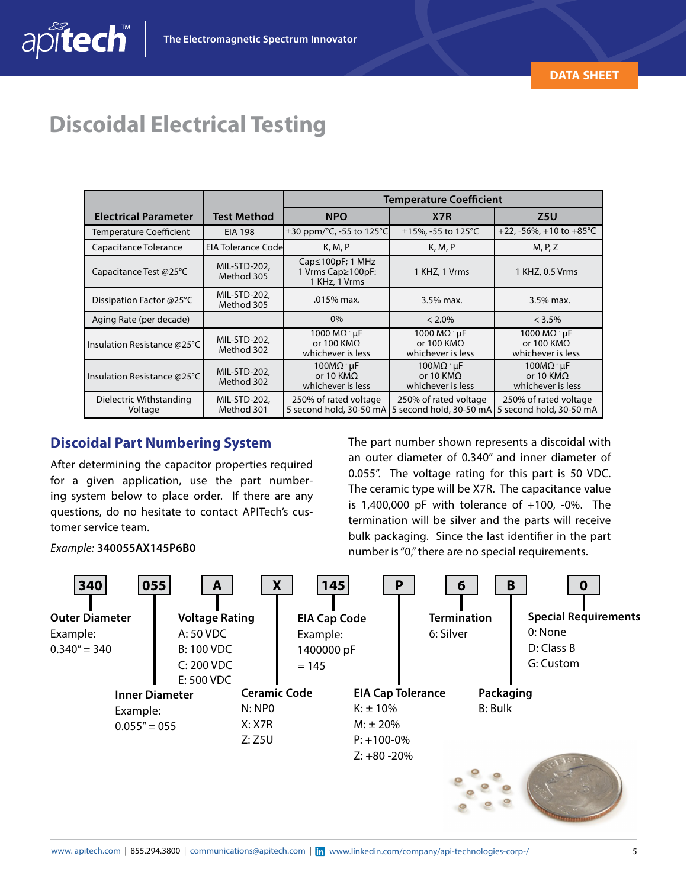# **Discoidal Electrical Testing**

apitech

|                                    |                            | <b>Temperature Coefficient</b>                                       |                                                                          |                                                                      |  |  |  |  |  |
|------------------------------------|----------------------------|----------------------------------------------------------------------|--------------------------------------------------------------------------|----------------------------------------------------------------------|--|--|--|--|--|
| <b>Electrical Parameter</b>        | <b>Test Method</b>         | <b>NPO</b>                                                           | X7R                                                                      | Z <sub>5</sub> U                                                     |  |  |  |  |  |
| <b>Temperature Coefficient</b>     | <b>EIA 198</b>             | $\pm 30$ ppm/ $\degree$ C, -55 to 125 $\degree$ C                    | ±15%, -55 to 125°C                                                       | +22, -56%, +10 to +85°C                                              |  |  |  |  |  |
| Capacitance Tolerance              | <b>EIA Tolerance Code</b>  | K, M, P                                                              | K, M, P                                                                  | M, P, Z                                                              |  |  |  |  |  |
| Capacitance Test @25°C             | MIL-STD-202,<br>Method 305 | $Cap \leq 100pF$ ; 1 MHz<br>1 Vrms Cap≥100pF:<br>1 KHz, 1 Vrms       | 1 KHZ, 1 Vrms                                                            | 1 KHZ, 0.5 Vrms                                                      |  |  |  |  |  |
| Dissipation Factor @25°C           | MIL-STD-202,<br>Method 305 | .015% max.                                                           | $3.5\%$ max.                                                             | $3.5\%$ max.                                                         |  |  |  |  |  |
| Aging Rate (per decade)            |                            | $0\%$                                                                | $< 2.0\%$                                                                | $< 3.5\%$                                                            |  |  |  |  |  |
| Insulation Resistance @25°C        | MIL-STD-202,<br>Method 302 | 1000 M $\Omega$ · $\mu$ F<br>or 100 KM $\Omega$<br>whichever is less | 1000 M $\Omega$ · $\mu$ F<br>or 100 KM $\Omega$<br>whichever is less     | 1000 M $\Omega$ · $\mu$ F<br>or 100 KM $\Omega$<br>whichever is less |  |  |  |  |  |
| Insulation Resistance @25°C        | MIL-STD-202,<br>Method 302 | $100M\Omega$ uF<br>or 10 KM $\Omega$<br>whichever is less            | $100M\Omega$ uF<br>or 10 KM $\Omega$<br>whichever is less                | $100M\Omega$ · $\mu$ F<br>or 10 KM $\Omega$<br>whichever is less     |  |  |  |  |  |
| Dielectric Withstanding<br>Voltage | MIL-STD-202,<br>Method 301 | 250% of rated voltage                                                | 250% of rated voltage<br>5 second hold, 30-50 mA 5 second hold, 30-50 mA | 250% of rated voltage<br>5 second hold, 30-50 mA                     |  |  |  |  |  |

### **Discoidal Part Numbering System**

After determining the capacitor properties required for a given application, use the part numbering system below to place order. If there are any questions, do no hesitate to contact APITech's customer service team.

The part number shown represents a discoidal with an outer diameter of 0.340" and inner diameter of 0.055". The voltage rating for this part is 50 VDC. The ceramic type will be X7R. The capacitance value is 1,400,000 pF with tolerance of  $+100$ ,  $-0\%$ . The termination will be silver and the parts will receive bulk packaging. Since the last identifier in the part number is "0," there are no special requirements.



*Example:* **340055AX145P6B0**